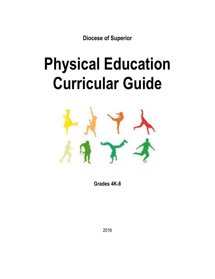**Diocese of Superior**

# **Physical Education Curricular Guide**



**Grades 4K-8**

2016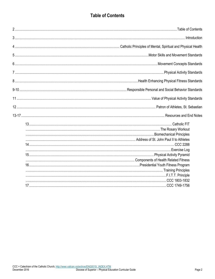## **Table of Contents**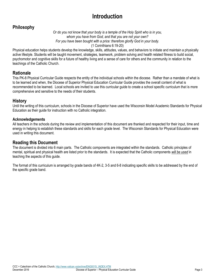# **Introduction**

## **Philosophy**

*Or do you not know that your body is a temple of the Holy Spirit who is in you, whom you have from God, and that you are not your own? For you have been bought with a price: therefore glorify God in your body.*  (1 Corinthians 6:19-20)

Physical education helps students develop the knowledge, skills, attitudes, values, and behaviors to initiate and maintain a physically active lifestyle. Students will be taught movement, strategies, teamwork, problem solving and health related fitness to build social, psychomotor and cognitive skills for a future of healthy living and a sense of care for others and the community in relation to the teachings of the Catholic Church.

#### **Rationale**

This PK-8 Physical Curricular Guide respects the entity of the individual schools within the diocese. Rather than a mandate of what is to be learned and when, the Diocese of Superior Physical Education Curricular Guide provides the overall content of what is recommended to be learned. Local schools are invited to use this curricular guide to create a school specific curriculum that is more comprehensive and sensitive to the needs of their students.

#### **History**

Until the writing of this curriculum, schools in the Diocese of Superior have used the Wisconsin Model Academic Standards for Physical Education as their guide for instruction with no Catholic integration.

#### **Acknowledgements**

All teachers in the schools during the review and implementation of this document are thanked and respected for their input, time and energy in helping to establish these standards and skills for each grade level. The Wisconsin Standards for Physical Education were used in writing this document.

#### **Reading this Document**

The document is divided into 6 main parts. The Catholic components are integrated within the standards. Catholic principles of mental, spiritual and physical health are listed prior to the standards. It is expected that the Catholic components *will be used* in teaching the aspects of this guide.

The format of this curriculum is arranged by grade bands of 4K-2, 3-5 and 6-8 indicating specific skills to be addressed by the end of the specific grade band.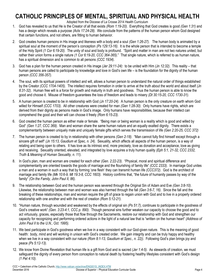# **CATHOLIC PRINCIPLES OF MENTAL, SPIRITUAL AND PHYSICAL HEALTH**

#### Adopted from the Diocese of La Crosse 2014 Health Curriculum

- 1. God has revealed to us that He is the Creator of all that exists *(Rom 1:19-20).* Everything that God creates is good *(Gen 1:31)* and has a design which reveals a purpose *(Acts 17:24-28)*. We conclude from the patterns of the human person whom God designed that certain functions, and not others, are fitting to human behavior.
- 2. God creates human persons in His image and likeness with a body and a soul *(Gen 1:26-27)*. The human body is animated by a spiritual soul at the moment of the person's conception *(Ps 129:13-16)*. It is the whole person that is intended to become a temple of the Holy Spirit *(1 Cor 6:19-20)*. The unity of soul and body is profound. "Spirit and matter in man are not two natures united, but rather their union forms a single nature *(1 Cor 6:19-20, CCC 364-365)*." That single nature, which is referred to as human nature, has a spiritual dimension and is common to all persons *(CCC 1934)*.
- 3. God has a plan for the human person created in His image *(Jer 29:11-24)*: to be united with Him *(Jn 12:32)*. This reality that human persons are called to participate by knowledge and love in God's own life – is the foundation for the dignity of the human person *(CCC 356-357)*.
- 4. The soul, with its spiritual powers of intellect and will, allows a human person to understand the natural order of things established by the Creator *(CCC 1704-1405)*. The intellect requires formation in order to arrive at the truth about the world and about itself *(Jn 8:31-32)*. Human free will is a force for growth and maturity in truth and goodness. Thus the human person is able to know the good and choose it. Misuse of freedom guarantees the loss of freedom and leads to misery *(Dt 30:15-20, CCC 1730-31)*.
- 5. A human person is created to be in relationship with God *(Jn 17:20-24)*. A human person is the only creature on earth whom God willed for Himself *(CCC 1703)*. All other creatures were created for man *(Gen 1:28-30)*. Only humans have rights, which are derived from their dignity as persons made in God's image. Only humans have responsibilities, because their intellect can comprehend the good and their will can choose it freely *(Rom 6:15-23)*.
- 6. God created the human person as either male or female. "Being man or being woman is a reality which is good and willed by God" *(Gen 1:27, CCC 369).* Man and woman share the same human nature and an equally exalted dignity. There exists a complementarity between uniquely male and uniquely female gifts which serves the transmission of life *(Gen 2:20-25, CCC 372)*
- 7. The human person is created to by in relationship with other persons *(Gen 2-18)*. "Man cannot fully find himself except through a sincere gift of self" *(Jn 15:13, Gaudium et Spec, n. 24).* Sexuality, which affects all aspects of the human person, is a way of relating and being open to others. It has love as its intrinsic end, more precisely, love as donation and acceptance, love as giving and receiving. Sexuality oriented, elevated, and integrated by love acquires a truly human quality *(Eph 5:1, 21-32, CCC 2332, Truth & Meaning of Human Sexuality, n. 11)*.
- 8. In God's plan, man and woman are created for each other *(Gen. 2:22-23)*. "Physical, moral and spiritual difference and complementarity are oriented towards the goods of marriage and the flourishing of family life" *(CCC 2333).* In marriage God unites a man and a woman in such a way that by forming 'one flesh' they can transmit human life *(CCC372)*. God is the architect of marriage and family life *(Mk 10:6-9, Mt 19:3-8, CCC 1603)*. History confirms that, "the future of humanity passes by way of the family" *(On the Family, John Paul II, 86)*.
- 9. The relationship between God and the human person was severed through the Original Sin of Adam and Eve *(Gen 3:8-10)*. Likewise, the relationship between man and woman was also harmed through the fall *(Gen 3:6-7, 16)*. Since the fall and the breaking of these relationships, man and woman require the gift of grace to regain union with God and to live in a properly ordered relationship with one another and with the rest of creation *(Rom 5:12-21)*.
- 10. "Human nature, through wounded and weakened by the effects of original sin *(Ps 51:7)*, continues to participate in the goodness of God's creative work" *(Gen. 3:23-4:1, CCC p. 890)*. Though personal sins further weaken our capacity to choose the good and to act virtuously, graces, especially those that flow through the Sacraments, restore our relationship with God and strengthen our capacity for recognizing and performing ordered actions in the light of a natural law that is "written on the human heart" *(Address of John Paul II to the U.N., Oct. 1995).*
- 11. We best participate in God's goodness when we live in a way consistent with our God-given nature. This is the meaning of good health: body, mind and will working in unison with God's created order. We gain integrity and can be truly happy and healthy when we live in a way consistent with our nature *(Rom 8:1-13, Gaudium et Spec., n. 22))*. Following God's plan brings joy and peace *(Ps 5:12-13)*.
- 12. We know from Divine Revelation that human life is a gift from God and is sacred *(Jer 1:4-5)*. As stewards of creation, we must safeguard the dignity of every person from conception to natural death by fostering healthy lifestyles consistent with God's design *(1 Pet 4:10)*.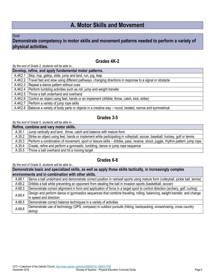# **A. Motor Skills and Movement**

#### *Goal:*

#### **Demonstrate competency in motor skills and movement patterns needed to perform a variety of physical activities.**

#### **Grades 4K-2**

*By the end of Grade 2, students will be able to…*

|  | Develop, refine, and apply fundamental motor patterns.                                                         |
|--|----------------------------------------------------------------------------------------------------------------|
|  | A.4K2.1 Skip, hop, gallop, slide, jump and land, run, jog, leap                                                |
|  | A.4K2.2 Travel fast and slow using different pathways, changing directions in response to a signal or obstacle |
|  | A.4K2.3 Repeat a dance pattern without cues                                                                    |
|  | A.4K2.4 Perform tumbling activities such as roll, jump and weight transfer                                     |
|  | A.4K2.5 Throw a ball underhand and overhand                                                                    |
|  | A.4K2.6 Control an object using feet, hands or an implement (dribble, throw, catch, kick, strike)              |
|  | A.4K2.7   Perform a variety of jump rope skills                                                                |
|  | A.4K2.8 Balance a variety of body parts or objects in a creative way – round, twisted, narrow and symmetrical  |

## **Grades 3-5**

#### *By the end of Grade 5, students will be able to…*

| Refine, combine and vary motor skills. |                                                                                                                               |
|----------------------------------------|-------------------------------------------------------------------------------------------------------------------------------|
| A.35.1                                 | Jump vertically and land, throw, catch and balance with mature form                                                           |
| A.35.2                                 | Strike an object using feet, hands or implement while participating in volleyball, soccer, baseball, hockey, golf or tennis   |
| A.35.3                                 | Perform a combination of movement, sport or leisure skills – dribble, pass, receive, shoot, juggle, rhythm pattern, jump rope |
| A.35.4                                 | Create, refine and perform a gymnastic, tumbling, dance or jump rope sequence                                                 |
| A.35.5                                 | Throw a ball overhand and hit a moving target                                                                                 |

#### **Grades 6-8**

*By the end of Grade 8, students will be able to…*

**Demonstrate basic and specialized skills, as well as apply those skills tactically, in increasingly complex environments and in combination with other skills.** A.68.1 Serve a ball underhand and demonstrate correct position in net/wall sports using mature form (volleyball, pickle ball, tennis) A.68.2 Dribble a ball while preventing an opponent from stealing the ball in invasion sports (basketball, soccer) A.68.3 Demonstrate correct alignment in form and application of force in a target sport to control direction (archery, golf, curling)

A.68.4 **Design and perform dance or gymnastics sequences that combine traveling, rolling, balancing, weight transfer, and change** in speed and direction A.68.5 Demonstrate correct balance techniques in a variety of activities

A.68.6 Pemonstrate use of technology (GPS, compass) in outdoor pursuits (hiking, backpacking, snowshoeing, cross country skiing)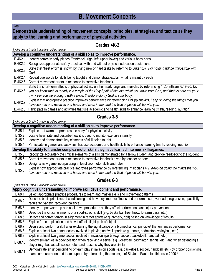#### *Goal:*

## **Demonstrate understanding of movement concepts, principles, strategies, and tactics as they apply to the learning and performance of physical activities.**

#### **Grades 4K-2**

#### *By the end of Grade 2, students will be able to…*

| Develop a cognitive understanding of a skill so as to improve performance. |                                                                                                                                                                                                                                                                                                                                       |
|----------------------------------------------------------------------------|---------------------------------------------------------------------------------------------------------------------------------------------------------------------------------------------------------------------------------------------------------------------------------------------------------------------------------------|
| <b>B.4K2.1</b>                                                             | Identify correctly body planes (front/back, right/left, upper/lower) and various body parts                                                                                                                                                                                                                                           |
| <b>B.4K2.2</b>                                                             | Recognize appropriate safety practices with and without physical education equipment                                                                                                                                                                                                                                                  |
| <b>B.4K2.3</b>                                                             | State that "best effort" is shown by trying new or hard tasks by referring to Luke 1:37, For nothing will be impossible with<br>God.                                                                                                                                                                                                  |
| <b>B.4K2.4</b>                                                             | Repeat cue words for skills being taught and demonstrate/explain what is meant by each                                                                                                                                                                                                                                                |
| B.4K2.5                                                                    | Correct movement errors in response to corrective feedback                                                                                                                                                                                                                                                                            |
| B.4K2.6                                                                    | State the short-term effects of physical activity on the heart, lungs and muscles by referencing 1 Corinthians 6:19-20, Do<br>you not know that your body is a temple of the Holy Spirit within you, which you have from God, and that you are not your<br>own? For you were bought with a price; therefore glorify God in your body. |
| <b>B.4K2.7</b>                                                             | Explain that appropriate practice improves performance by referencing Philippians 4:9, Keep on doing the things that you<br>have learned and received and heard and seen in me, and the God of peace will be with you.                                                                                                                |
| <b>B.4K2.8</b>                                                             | Participate in games and activities that use academic and health skills to enhance learning (math, reading, nutrition)                                                                                                                                                                                                                |

## **Grades 3-5**

*By the end of Grade 5, students will be able to…*

| Develop a cognitive understanding of a skill so as to improve performance.                    |                                                                                                                            |
|-----------------------------------------------------------------------------------------------|----------------------------------------------------------------------------------------------------------------------------|
| B.35.1                                                                                        | Explain that warm-up prepares the body for physical activity                                                               |
| B.35.2                                                                                        | Locate heart rate and describe how it is used to monitor exercise intensity                                                |
| B.35.3                                                                                        | Identify and demonstrate key elements of skill being taught                                                                |
| B.35.4                                                                                        | Participate in games and activities that use academic and health skills to enhance learning (math, reading, nutrition)     |
| Develop the ability to transfer complex motor skills they have learned into new skills/games. |                                                                                                                            |
| B.35.5                                                                                        | Recognize accurately the critical elements of a skill demonstrated by a fellow student and provide feedback to the student |
| B.35.6                                                                                        | Correct movement errors in response to corrective feedback given by teacher or peer                                        |
| B.35.7                                                                                        | Design a new game incorporating at least two motor skills and rules                                                        |
| B.35.8                                                                                        | Explain how appropriate practice improves performance by referencing Philippians 4:9, Keep on doing the things that you    |
|                                                                                               | have learned and received and heard and seen in me, and the God of peace will be with you.                                 |

## **Grades 6-8**

| Apply cognitive understanding to improve skill development and performance. |                                                                                                                                                                        |
|-----------------------------------------------------------------------------|------------------------------------------------------------------------------------------------------------------------------------------------------------------------|
| B.68.1                                                                      | Select appropriate practice procedures to learn and master skills and movement patterns                                                                                |
| B.68.2                                                                      | Describe basic principles of conditioning and how they improve fitness and performance (overload, progression, specificity,<br>regularity, variety, recovery, balance) |
| B.68.3                                                                      | Identify proper warm-up and cool down procedures as they affect performance and injury prevention                                                                      |
| B.68.4                                                                      | Describe the critical elements of a sport-specific skill (e.g. basketball free throw, forearm pass, etc.)                                                              |
| B.68.5                                                                      | Detect and correct errors in alignment in target sports (e.g. archery, golf) based on knowledge of results                                                             |
| B.68.6                                                                      | Explain force application and how it affects flight path of object                                                                                                     |
| B.68.7                                                                      | Devise and perform a skill after explaining the significance of a biomechanical principle <sup>1</sup> that enhances performance                                       |
| B.68.8                                                                      | Explain at least two game tactics involved in playing net/wall sports (e.g. tennis, badminton, volleyball, etc.)                                                       |
| B.68.9                                                                      | Explain at least two game tactics involved in invasion sports (e.g. soccer, basketball, handball, etc.)                                                                |
| B.68.10                                                                     | Identify similarities in body position when receiving a serve (e.g. volleyball, badminton, tennis, etc.) and when defending a                                          |
|                                                                             | player (e.g. basketball, soccer, etc.) and reasons why they are similar                                                                                                |
| B.68.11                                                                     | Demonstrate an understanding of team play in invasion sports (e.g. basketball, soccer, handball, etc.) by proper positioning,                                          |
|                                                                             | team communication and team support by referencing the message of St. John Paul II to athletes in 2000.2                                                               |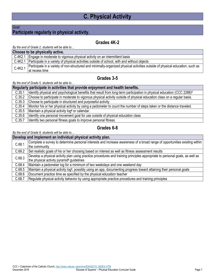# **C. Physical Activity**

#### *Goal:*

## **Participate regularly in physical activity.**

## **Grades 4K-2**

#### *By the end of Grade 2, students will be able to…*

| Choose to be physically active. |                                                                                                                               |
|---------------------------------|-------------------------------------------------------------------------------------------------------------------------------|
|                                 | C.4K2.1 Engage in moderate to vigorous physical activity on an intermittent basis                                             |
| C.4K2.1                         | Participate in a variety of physical activities outside of school, with and without objects                                   |
| C.4K2.1                         | Participate in a variety of non-structured and minimally-organized physical activities outside of physical education, such as |
|                                 | at recess time                                                                                                                |

#### **Grades 3-5**

*By the end of Grade 5, students will be able to…*

|        | Regularly participate in activities that provide enjoyment and health benefits.                                                     |
|--------|-------------------------------------------------------------------------------------------------------------------------------------|
| C.35.1 | Identify physical and psychological benefits that result from long-term participation in physical education (CCC 2288) <sup>3</sup> |
| C.35.2 | Choose to participate in moderate to vigorous physical activity outside of physical education class on a regular basis.             |
| C.35.3 | Choose to participate in structured and purposeful activity.                                                                        |
| C.35.4 | Monitor his or her physical activity by using a pedometer to count the number of steps taken or the distance traveled.              |
| C.35.5 | Maintain a physical activity log <sup>4</sup> or calendar.                                                                          |
| C.35.6 | Identify one personal movement goal for use outside of physical education class                                                     |
| C.35.7 | Identify two personal fitness goals to improve personal fitness                                                                     |

## **Grades 6-8**

*By the end of Grade 8, students will be able to…*

#### **Develop and implement an individual physical activity plan.**

| C.68.1 | Complete a survey to determine personal interests and increase awareness of a broad range of opportunities existing within        |
|--------|-----------------------------------------------------------------------------------------------------------------------------------|
|        | the community                                                                                                                     |
| C.68.2 | Set realistic goals of his or her choosing based on interest as well as fitness assessment results                                |
| C.68.3 | Develop a physical activity plan using practice procedures and training principles appropriate to personal goals, as well as      |
|        | the physical activity pyramid <sup>5</sup> guidelines                                                                             |
| C.68.4 | Maintain a pedometer log for a minimum of two weekdays and one weekend day                                                        |
| C.68.5 | Maintain a physical activity log <sup>4</sup> , possibly using an app, documenting progress toward attaining their personal goals |
| C.68.6 | Document practice time as specified by the physical education teacher                                                             |
| C.68.7 | Regulate physical activity behavior by using appropriate practice procedures and training principles                              |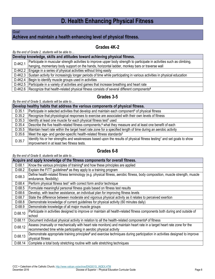# **D. Health Enhancing Physical Fitness**

#### *Goal:*

## **Achieve and maintain a health enhancing level of physical fitness.**

## **Grades 4K-2**

*By the end of Grade 2, students will be able to…*

| Develop knowledge, skills and attitudes toward achieving physical fitness. |                                                                                                                                  |
|----------------------------------------------------------------------------|----------------------------------------------------------------------------------------------------------------------------------|
| D.4K2.1                                                                    | Participate in muscular strength activities to improve upper body strength to participate in activities such as climbing,        |
|                                                                            | hanging, momentary body support on the hands, horizontal ladder, monkey bars or traverse wall                                    |
|                                                                            | D.4K2.2   Engage in a series of physical activities without tiring easily                                                        |
|                                                                            | D.4K2.3 Sustain activity for increasingly longer periods of time while participating in various activities in physical education |
|                                                                            | D.4K2.4   Begin to identify muscle groups used in activities                                                                     |
|                                                                            | D.4K2.5   Participate in a variety of activities and games that increase breathing and heart rate                                |
|                                                                            | D.4K2.6 Recognize that health-related physical fitness consists of several different components <sup>6</sup>                     |

## **Grades 3-5**

*By the end of Grade 5, students will be able to…*

| Develop healthy habits that address the various components of physical fitness. |                                                                                                                                    |  |
|---------------------------------------------------------------------------------|------------------------------------------------------------------------------------------------------------------------------------|--|
| D.35.1                                                                          | Participate in selected activities that develop and maintain each component <sup>6</sup> of physical fitness                       |  |
| D.35.2                                                                          | Recognize that physiological responses to exercise are associated with their own levels of fitness                                 |  |
| D.35.3                                                                          | Identify at least one muscle for each physical fitness test <sup>7</sup> used                                                      |  |
| D.35.4                                                                          | Describe the five health-related fitness components, <sup>6</sup> what they measure and at least one benefit of each               |  |
| D.35.5                                                                          | Maintain heart rate within the target heart rate zone for a specified length of time during an aerobic activity                    |  |
| D.35.6                                                                          | Meet the age- and gender-specific health-related fitness standards <sup>7</sup>                                                    |  |
| D.35.7                                                                          | Identify his or her strengths and weaknesses based upon the results of physical fitness testing <sup>7</sup> and set goals to show |  |
|                                                                                 | improvement in at least two fitness tests.                                                                                         |  |

## **Grades 6-8**

| Acquire and apply knowledge of the fitness components for overall fitness. |                                                                                                                                         |
|----------------------------------------------------------------------------|-----------------------------------------------------------------------------------------------------------------------------------------|
| D.68.1                                                                     | Know the various principles of training <sup>8</sup> and how these principles are applied                                               |
| D.68.2                                                                     | Explain the FITT guidelines <sup>9</sup> as they apply to a training program                                                            |
| D.68.3                                                                     | Define health-related fitness terminology (e.g. physical fitness, aerobic fitness, body composition, muscle strength, muscle            |
|                                                                            | endurance, flexibility)                                                                                                                 |
| D.68.4                                                                     | Perform physical fitness test <sup>7</sup> with correct form and/or technique                                                           |
| D.68.5                                                                     | Formulate meaningful personal fitness goals based on fitness test results                                                               |
| D.68.6                                                                     | Develop, with teacher assistance, an individual plan for improving fitness levels                                                       |
| D.68.7                                                                     | State the difference between moderate and vigorous physical activity as it relates to perceived exertion                                |
| D.68.8                                                                     | Demonstrate knowledge of current guidelines for physical activity (60 minutes daily)                                                    |
| D.68.9                                                                     | Demonstrate knowledge of all major muscle groups                                                                                        |
| D.68.10                                                                    | Participate in activities designed to improve or maintain all health-related fitness components both during and outside of              |
|                                                                            | school                                                                                                                                  |
| D.68.11                                                                    | Document individual physical activity in relation to all the health-related components <sup>6</sup> of fitness                          |
| D.68.12                                                                    | Assess (manually or mechanically with heart rate monitors) and maintain heart rate in a target heart rate zone for the                  |
|                                                                            | recommended time while participating in aerobic physical activity                                                                       |
| D.68.13                                                                    | Demonstrate appropriate training principles <sup>8</sup> and exercise techniques during participation in activities designed to improve |
|                                                                            | physical fitness                                                                                                                        |
| D.68.14                                                                    | Complete a total body stretching routine with safe stretching techniques                                                                |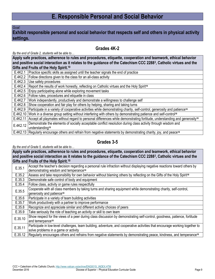*Goal:*

**Exhibit responsible personal and social behavior that respects self and others in physical activity settings.**

## **Grades 4K-2**

*By the end of Grade 2, students will be able to…*

**Apply safe practices, adherence to rules and procedures, etiquette, cooperation and teamwork, ethical behavior and positive social interaction as it relates to the guidance of the Catechism CCC 2288<sup>3</sup> , Catholic virtues and the Gifts and Fruits of the Holy Spirit.<sup>10</sup>**

| E.4K2.1   Practice specific skills as assigned until the teacher signals the end of practice                    |  |
|-----------------------------------------------------------------------------------------------------------------|--|
| E.4K2.2   Follow directions given to the class for an all-class activity                                        |  |
| E.4K2.3 Use safety procedures                                                                                   |  |
| E.4K2.4   Report the results of work honestly, reflecting on Catholic virtues and the Holy Spirit <sup>10</sup> |  |
| E.4K2.5   Enjoy participating alone while exploring movement tasks                                              |  |
| E.4K2.6   Follow rules, procedures and etiquette in class                                                       |  |
| E.4K2.7   Work independently, productively and demonstrate a willingness to challenge self                      |  |
| E.4K2.8 Show cooperation and fair play for others by helping, sharing and taking turns                          |  |

E.4K2.9 Participate in a variety of cooperative activities while demonstrating charity, self-control, generosity and patience**<sup>10</sup>**

E.4K2.10 Work in a diverse group setting without interfering with others by demonstrating patience and self-control**<sup>10</sup>**

E.4K2.11 Accept all playmates without regard to personal differences while demonstrating fortitude, understanding and generosity**<sup>10</sup>**

E.4K2.12 Demonstrate the elements of socially acceptable conflict resolution during class activity through wisdom and understanding**<sup>10</sup>**

E.4K2.13 Regularly encourage others and refrain from negative statements by demonstrating charity, joy, and peace**<sup>10</sup>**

## **Grades 3-5**

#### *By the end of Grade 5, students will be able to…*

**Apply safe practices, adherence to rules and procedures, etiquette, cooperation and teamwork, ethical behavior and positive social interaction as it relates to the guidance of the Catechism CCC 2288<sup>3</sup> , Catholic virtues and the Gifts and Fruits of the Holy Spirit.<sup>10</sup>**

| E.35.1  | Accept the teacher's decision regarding a personal rule infraction without displaying negative reactions toward others by<br>demonstrating wisdom and temperance <sup>10</sup> |
|---------|--------------------------------------------------------------------------------------------------------------------------------------------------------------------------------|
|         |                                                                                                                                                                                |
| E.35.2  | Assess and take responsibility for own behavior without blaming others by reflecting on the Gifts of the Holy Spirit <sup>10</sup>                                             |
| E.35.3  | Demonstrate safe control of body and equipment                                                                                                                                 |
| E.35.4  | Follow class, activity or game rules respectfully                                                                                                                              |
| E.35.5  | Cooperate with all class members by taking turns and sharing equipment while demonstrating charity, self-control,                                                              |
|         | generosity and patience <sup>10</sup>                                                                                                                                          |
| E.35.6  | Participate in a variety of team building activities                                                                                                                           |
| E.35.7  | Work productively with a partner to improve performance                                                                                                                        |
| E.35.8  | Recognize and appreciate similar and different activity choices of peers                                                                                                       |
| E.35.9  | Take seriously the role of teaching an activity or skill to own team                                                                                                           |
| E.35.10 | Show respect for the views of a peer during class discussion by demonstrating self-control, goodness, patience, fortitude                                                      |
|         | and temerpance <sup>10</sup>                                                                                                                                                   |
| E.35.11 | Participate in low-level challenges, team building, adventure, and cooperative activities that encourage working together to                                                   |
|         | solve problems in a game or activity                                                                                                                                           |
| E.35.12 | Regularly encourages others and refrains from negative statements by demonstrating peace, kindness, and temperance <sup>10</sup>                                               |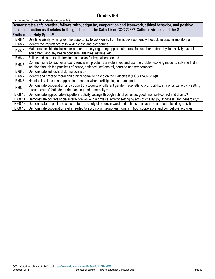## **Grades 6-8**

| social interaction as it relates to the guidance of the Catechism CCC 2288 <sup>3</sup> , Catholic virtues and the Gifts and<br>Fruits of the Holy Spirit. <sup>10</sup> |  |
|--------------------------------------------------------------------------------------------------------------------------------------------------------------------------|--|
|                                                                                                                                                                          |  |
|                                                                                                                                                                          |  |
| Use time wisely when given the opportunity to work on skill or fitness development without close teacher monitoring<br>E.68.1                                            |  |
| E.68.2<br>Identify the importance of following class and procedures                                                                                                      |  |
| Make responsible decisions for personal safety regarding appropriate dress for weather and/or physical activity, use of<br>E.68.3                                        |  |
| equipment, and any health concerns (allergies, asthma, etc.)                                                                                                             |  |
| E.68.4<br>Follow and listen to all directions and asks for help when needed                                                                                              |  |
| Communicate to teacher and/or peers when problems are observed and use the problem-solving model to solve to find a<br>E.68.5                                            |  |
| solution through the practices of peace, patience, self-control, courage and temperance <sup>10</sup>                                                                    |  |
| E.68.6<br>Demonstrate self-control during conflict <sup>10</sup>                                                                                                         |  |
| E.68.7<br>ldentify and practice moral and ethical behavior based on the Catechism (CCC 1749-1756) <sup>11</sup>                                                          |  |
| E.68.8<br>Handle situations in an appropriate manner when participating in team sports                                                                                   |  |
| Demonstrate cooperation and support of students of different gender, race, ethnicity and ability in a physical activity setting<br>E.68.9                                |  |
| through acts of fortitude, understanding and generosity <sup>10</sup>                                                                                                    |  |
| E.68.10<br>Demonstrate appropriate etiquette in activity settings through acts of patience, goodness, self-control and charity <sup>10</sup>                             |  |
| E.68.11<br>Demonstrate positive social interaction while in a physical activity setting by acts of charity, joy, kindness, and generosity <sup>10</sup>                  |  |
| E.68.12<br>Demonstrate respect and concern for the safety of others in word and actions in adventure and team building activities                                        |  |
| E.68.13<br>Demonstrate cooperation skills needed to accomplish group/team goals in both cooperative and competitive activities                                           |  |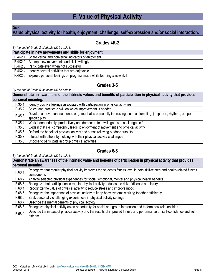# **F. Value of Physical Activity**

#### *Goal:*

## **Value physical activity for health, enjoyment, challenge, self-expression and/or social interaction.**

### **Grades 4K-2**

*By the end of Grade 2, students will be able to…*

| Participate in new movements and skills for enjoyment.                          |  |
|---------------------------------------------------------------------------------|--|
| F.4K2.1 Share verbal and nonverbal indicators of enjoyment                      |  |
| F.4K2.2 Attempt new movements and skills willingly                              |  |
| F.4K2.3   Participate even when not successful                                  |  |
| F.4K2.4 Identify several activities that are enjoyable                          |  |
| F.4K2.5   Express personal feelings on progress made while learning a new skill |  |

#### **Grades 3-5**

#### *By the end of Grade 5, students will be able to…*

|        | Demonstrate an awareness of the intrinsic values and benefits of participation in physical activity that provides                    |
|--------|--------------------------------------------------------------------------------------------------------------------------------------|
|        | personal meaning.                                                                                                                    |
| F.35.1 | Identify positive feelings associated with participation in physical activities                                                      |
| F.35.2 | Select and practice a skill on which improvement is needed                                                                           |
| F.35.3 | Develop a movement sequence or game that is personally interesting, such as tumbling, jump rope, rhythms, or sports<br>specific play |
| F.35.4 | Work independently, productively and demonstrate a willingness to challenge self                                                     |
| F.35.5 | Explain that skill competency leads to enjoyment of movement and physical activity                                                   |
| F.35.6 | Defend the benefit of physical activity and stress relieving outdoor pursuits                                                        |
| F.35.7 | Interact with others by helping with their physical activity challenges                                                              |
| F.35.8 | Choose to participate in group physical activities                                                                                   |

## **Grades 6-8**

|                   | Demonstrate an awareness of the intrinsic value and benefits of participation in physical activity that provides               |
|-------------------|--------------------------------------------------------------------------------------------------------------------------------|
| personal meaning. |                                                                                                                                |
| F.68.1            | Recognize that regular physical activity improves the student's fitness level in both skill-related and health-related fitness |
| F.68.2            | components                                                                                                                     |
|                   | Analyze selected physical experiences for social, emotional, mental and physical health benefits                               |
| F.68.3            | Recognize that participation in regular physical activity reduces the risk of disease and injury                               |
| F.68.4            | Recognize the value of physical activity to reduce stress and improve mood                                                     |
| F.68.5            | Recognize the importance of physical activity to keep body systems working together efficiently                                |
| F.68.6            | Seek personally-challenging experiences in physical activity settings                                                          |
| F.68.7            | Describe the mental benefits of physical activity                                                                              |
| F.68.8            | Recognize physical activity as an opportunity for social and group interaction and to form new relationships                   |
| F.68.9            | Describe the impact of physical activity and the results of improved fitness and performance on self-confidence and self-      |
|                   | esteem                                                                                                                         |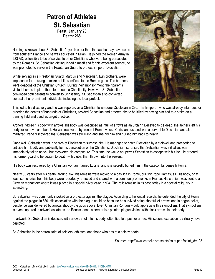## **Patron of Athletes St. Sebastian Feast: January 20 Death: 268**

Nothing is known about St. Sebastian's youth other than the fact he may have come from southern France and he was educated in Milan. He joined the Roman Army in 283 AD, ostensibly to be of service to other Christians who were being persecuted by the Romans. St. Sebastian distinguished himself and for his excellent service, he was promoted to serve in the Praetorian Guard to protect Emperor Diocletian.

While serving as a Praetorian Guard, Marcus and Marcellian, twin brothers, were imprisoned for refusing to make public sacrifices to the Roman gods. The brothers were deacons of the Christian Church. During their imprisonment, their parents visited them to implore them to renounce Christianity. However, St. Sebastian convinced both parents to convert to Christianity. St. Sebastian also converted several other prominent individuals, including the local prefect.



This led to his discovery and he was reported as a Christian to Emperor Diocletian in 286. The Emperor, who was already infamous for ordering the deaths of hundreds of Christians, scolded Sebastian and ordered him to be killed by having him tied to a stake on a training field and used as target practice.

Archers riddled his body with arrows, his body was described as, "full of arrows as an urchin." Believed to be dead, the archers left his body for retrieval and burial. He was recovered by Irene of Rome, whose Christian husband was a servant to Diocletian and also martyred. Irene discovered that Sebastian was still living and she hid him and nursed him back to health.

Once well, Sebastian went in search of Diocletian to surprise him. He managed to catch Diocletian by a stairwell and proceeded to criticize him loudly and publically for his persecution of the Christians. Diocletian, surprised that Sebastian was still alive, was immediately taken aback, but recovered his composure. This time, he would not permit Sebastian to escape with his life. He ordered his former guard to be beaten to death with clubs, then thrown into the sewers.

His body was recovered by a Christian woman, named Lucina, and she secretly buried him in the catacombs beneath Rome.

Nearly 80 years after his death, around 367, his remains were moved to a basilica in Rome, built by Pope Damasus I. His body, or at least some relics from his body were reportedly removed and shared with a community of monks in France. His cranium was sent to a German monastery where it was placed in a special silver case in 934. The relic remains in its case today in a special reliquary in Ebersberg.

St. Sebastian was commonly invoked as a protector against the plague. According to historical records, he defended the city of Rome against the plague in 680. His association with the plague could be because he survived being shot full of arrows and in pagan belief, pestilence was delivered by arrows shot by the gods above. Even Christian Romans would appreciate this symbolism. That symbolism is even captured in artwork as late as the Renaissance, where artists painted plague victims with black arrows in their body.

In artwork, St. Sebastian is depicted with arrows shot into his body, often tied to a post or a tree. His second execution is virtually never depicted.

St. Sebastian is the patron saint of soldiers, athletes, and those who desire a saintly death.

Source: http://www.catholic.org/saints/saint.php?saint\_id=103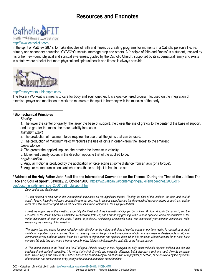# **Resources and Endnotes**



#### <http://www.catholicfit.com/>

In the spirit of Matthew 28:19, to make disciples of faith and fitness by creating programs for moments in a Catholic person's life: i.e. primary and secondary education, CYC/CYO, scouts, marriage prep and others. A "disciple of faith and fitness" is a student, inspired by his or her new-found physical and spiritual awareness, guided by the Catholic Church, supported by its supernatural family and exists in a state where a belief that more physical and spiritual health and fitness is always possible.



#### <http://rosaryworkout.blogspot.com/>

The Rosary Workout is a means to care for body and soul together. It is a goal-centered program focused on the integration of exercise, prayer and meditation to work the muscles of the spirit in harmony with the muscles of the body.

#### **<sup>1</sup> Biomechanical Principles**

*Stability*

 $\overline{\phantom{a}}$ 

1: The lower the center of gravity, the larger the base of support, the closer the line of gravity to the center of the base of support, and the greater the mass, the more stability increases.

*Maximum Effort*

2: The production of maximum force requires the use of all the joints that can be used.

3: The production of maximum velocity requires the use of joints in order – from the largest to the smallest.

*Linear Motion*

4: The greater the applied impulse, the greater the increase in velocity.

5: Movement usually occurs in the direction opposite that of the applied force.

*Angular Motion*

6: Angular motion is produced by the application of force acting at some distance from an axis (or a torque).

7: Angular momentum is constant when an athlete or object is free in the air.

**<sup>2</sup> Address of the Holy Father John Paull II to the International Convention on the Theme: "During the Time of the Jubilee: The Face and Soul of Sport",** Saturday, 28 October 2000, [https://w2.vatican.va/content/john-paul-ii/en/speeches/2000/oct-](https://w2.vatican.va/content/john-paul-ii/en/speeches/2000/oct-dec/documents/hf_jp-ii_spe_20001028_jubilsport.html)

[dec/documents/hf\\_jp-ii\\_spe\\_20001028\\_jubilsport.html](https://w2.vatican.va/content/john-paul-ii/en/speeches/2000/oct-dec/documents/hf_jp-ii_spe_20001028_jubilsport.html)

*Dear Ladies and Gentlemen!*

*1. I am pleased to take part in this international convention on the significant theme: "During the time of the Jubilee: the face and soul of sport". Today I have the welcome opportunity to greet you, who in various capacities are the distinguished representatives of sport, as I wait to meet the entire world of sport, which will celebrate its Jubilee tomorrow at the Olympic Stadium.*

*I greet the organizers of this meeting, especially the President of the International Olympic Committee, Mr Juan Antonio Samaranch, and the President of the Italian Olympic Committee, Mr Giovanni Petrucci, and I extend my greeting to the various speakers and representatives of the*  varied dimensions of sport in the world. I thank, in particular, Archbishop Crescenzio Sepe, who expressed your common sentiments, while *explaining the meaning of this meeting.*

*The theme that you chose for your reflection calls attention to the nature and aims of playing sports in our time, which is marked by a great variety of important social changes. Sport is certainly one of the prominent phenomena which, in a language understandable to all, can communicate very profound values. It can be a vehicle of high human and spiritual ideals when it is practised with full respect for its rules; but it can also fail in its true aim when it leaves room for other interests that ignore the centrality of the human person.*

*2. The theme speaks of the "face" and "soul" of sport. Athletic activity, in fact, highlights not only man's valuable physical abilities, but also his*  intellectual and spiritual capacities. It is not just physical strength and muscular efficiency, but it also has a soul and must show its complete face. This is why a true athlete must not let himself be carried away by an obsession with physical perfection, or be enslaved by the rigid laws *of production and consumption, or by purely utilitarian and hedonistic considerations.*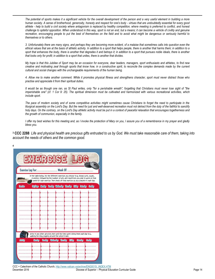*The potential of sports makes it a significant vehicle for the overall development of the person and a very useful element in building a more human society. A sense of brotherhood, generosity, honesty and respect for one's body - virtues that are undoubtedly essential for every good athlete - help to build a civil society where antagonism is replaced by healthy competition, where meeting is preferred to conflict, and honest challenge to spiteful opposition. When understood in this way, sport is not an end, but a means; it can become a vehicle of civility and genuine recreation, encouraging people to put the best of themselves on the field and to avoid what might be dangerous or seriously harmful to themselves or to others.*

*3. Unfortunately there are many signs, and perhaps they are becoming more evident, of a malaise that sometimes calls into question even the ethical values that are at the basis of athletic activity. In addition to a sport that helps people, there is another that harms them; in addition to a*  sport that enhances the body, there is another that degrades it and betrays it; in addition to a sport that pursues noble ideals, there is another *that looks only for profit; in addition to a sport that unites, there is another that divides.*

*My hope is that this Jubilee of Sport may be an occasion for everyone, dear leaders, managers, sport enthusiasts and athletes, to find new creative and motivating zeal through sports that know how, in a constructive spirit, to reconcile the complex demands made by the current cultural and social changes with the unchangeable requirements of the human being.*

*4. Allow me to make another comment. While it promotes physical fitness and strengthens character, sport must never distract those who practise and appreciate it from their spiritual duties.*

*It would be as though one ran, as St Paul writes, only "for a perishable wreath", forgetting that Christians must never lose sight of "the imperishable one" (cf. 1 Cor 9: 25). The spiritual dimension must be cultivated and harmonized with various recreational activities, which include sport.*

*The pace of modern society and of some competitive activities might sometimes cause Christians to forget the need to participate in the liturgical assembly on the Lord's Day. But the need for just and well-deserved recreation must not detract from the duty of the faithful to sanctify holy days. On the contrary, on the Lord's Day athletic activity must be put in a context of peaceful relaxation that encourages togetherness and the growth of communion, especially in the family.*

*I offer my best wishes for this meeting and, as I invoke the protection of Mary on you, I assure you of a remembrance in my prayer and gladly bless you.*

**<sup>3</sup> CCC 2288** *Life and physical health are precious gifts entrusted to us by God. We must take reasonable care of them, taking into account the needs of others and the common good.*

| In the table below, list the different exercises you choose (e.g., biceps curls, squats,<br>crunches), followed by the number of sets and repetitions you plan to work on that<br>week for each exercise. Then check off that exercise as you complete it each day.<br>Sayleys Monday Unaday Wadnesday Thursday Ridby Saturday Sunday<br>Beardse |      |  |
|--------------------------------------------------------------------------------------------------------------------------------------------------------------------------------------------------------------------------------------------------------------------------------------------------------------------------------------------------|------|--|
|                                                                                                                                                                                                                                                                                                                                                  |      |  |
|                                                                                                                                                                                                                                                                                                                                                  |      |  |
| <br><br>                                                                                                                                                                                                                                                                                                                                         | <br> |  |
|                                                                                                                                                                                                                                                                                                                                                  |      |  |
|                                                                                                                                                                                                                                                                                                                                                  |      |  |
|                                                                                                                                                                                                                                                                                                                                                  |      |  |
|                                                                                                                                                                                                                                                                                                                                                  |      |  |
|                                                                                                                                                                                                                                                                                                                                                  |      |  |
|                                                                                                                                                                                                                                                                                                                                                  |      |  |
|                                                                                                                                                                                                                                                                                                                                                  |      |  |
|                                                                                                                                                                                                                                                                                                                                                  |      |  |
| Write in any other activities here and the time spent doing them each day (e.g.,<br>walking the dog, jogging around the school track).                                                                                                                                                                                                           |      |  |

 $\overline{\phantom{a}}$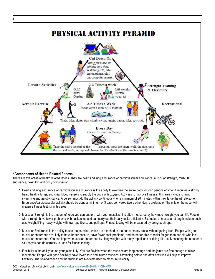

#### **<sup>6</sup> Components of Health Related Fitness**

There are five areas of health related fitness. They are heart and lung endurance or cardiovascular endurance, muscular strength, muscular endurance, flexibility, and body composition.

- 1. Heart and lung endurance or cardiovascular endurance is the ability to exercise the entire body for long periods of time. It requires a strong heart, healthy lungs, and clear blood vessels to supply the body with oxygen. Activities to improve fitness in this area include running, swimming and aerobic dance. A person must do the activity continuously for a minimum of 20 minutes within their target heart rate zone. Endurance/cardiovascular activity should be done a minimum of 3 days per week. Every other day is preferable. The mile or the pacer will measure fitness testing in this area.
- 2. Muscular Strength is the amount of force you can put forth with your muscles. It is often measured by how much weight you can lift. People with strength have fewer problems with backaches and can carry out their daily tasks efficiently. Examples of muscular strength include pushups, weight lifting heavy weight with few repetitions, and pull-ups. Fitness testing will be measured by doing push-ups.
- 3. Muscular Endurance is the ability to use the muscles, which are attached to the bones, many times without getting tired. People with good muscular endurance are likely to have better posture, have fewer back problems, and be better able to resist fatigue than people who lack muscular endurance. You can improve muscular endurance by lifting weights with many repetitions or doing sit-ups. Measuring the number of sit-ups you can do correctly is used for fitness testing.
- 4. Flexibility is the ability to use your joints fully. You are flexible when the muscles are long enough and the joints are free enough to allow movement. People with good flexibility have fewer sore and injured muscles. Stretching before and after activities will help to improve flexibility. The sit-and-reach and the trunk lift are two tests used to measure flexibility.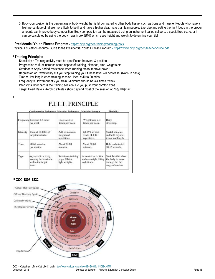5. Body Composition is the percentage of body weight that is fat compared to other body tissue, such as bone and muscle. People who have a high percentage of fat are more likely to be ill and have a higher death rate than lean people. Exercise and eating the right foods in the proper amounts can improve body composition. Body composition can be measured using an instrument called calipers, a specialized scale, or it can be calculated by using the body mass index (BMI) which uses height and weight to determine your BMI.

#### **<sup>7</sup> Presidential Youth Fitness Program -** <https://pyfp.org/get-training/teaching-tools>

Physical Educator Resource Guide to the Presidential Youth Fitness Program - <https://www.pyfp.org/doc/teacher-guide.pdf>

#### **<sup>8</sup> Training Principles**

 $\overline{\phantom{a}}$ 

**9**

**S**pecificity = Training activity must be specific for the event & position

**Progression = Must increase some aspect of training, distance, time, weights etc** 

**O**verload = Apply added resistance when running etc to improve power

**R**egression or Reversibility = If you stop training your fitness level will decrease. (Not \$ in bank).

**T**ime = How long is each training session. Ideal = 40 to 90 mins

**F**requency = How frequently you train. Minimum should be 3-4 times / week.

**I**ntensity = How hard is the training session. Do you push your comfort zone.

**T**arget Heart Rate = Aerobic athletes should spend most of the session at 70% HR(max)

|           | Cardiovascular Endurance Muscular Endurance , Muscular Strength              |                                                         |                                                                | Flexibility                                                                      |
|-----------|------------------------------------------------------------------------------|---------------------------------------------------------|----------------------------------------------------------------|----------------------------------------------------------------------------------|
|           | Frequency Exercise 3-5 times<br>per week                                     | Exercises 2-4<br>times per week                         | Weight train 2-4<br>times per week.                            | Daily<br>stretching.                                                             |
| Intensity | Train at 60-80% of<br>target heart rate.                                     | Add or maintain<br>weight and<br>repetitions.           | 60-75% of max<br>$3 sets of 8-12$<br>repetitions.              | Stretch muscles<br>and hold beyond<br>its normal length.                         |
| Time      | 20-60 minutes<br>per session.                                                | About 30-60<br>minutes.                                 | About 30-60<br>minutes.                                        | Hold each stretch<br>$10-15$ seconds.                                            |
| Type      | Any aerobic activity<br>keeping the heart rate<br>within the target<br>zone. | Resistance training<br>yoga, Pilates,<br>light weights. | Anaerobic activities<br>such as weight lifting<br>and sit ups. | Stretches that allow<br>the body to move<br>through the full<br>range of motion. |

#### **<sup>10</sup> CCC 1803-1832**